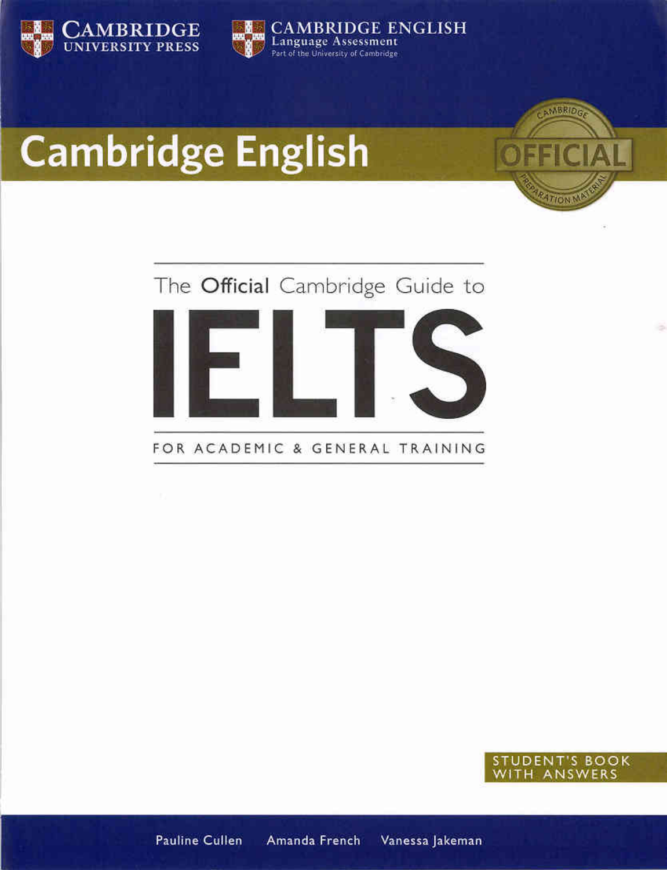



# **Cambridge English**





FOR ACADEMIC & GENERAL TRAINING



**NMBRIDE** 

Vanessa Jakeman **Pauline Cullen** Amanda French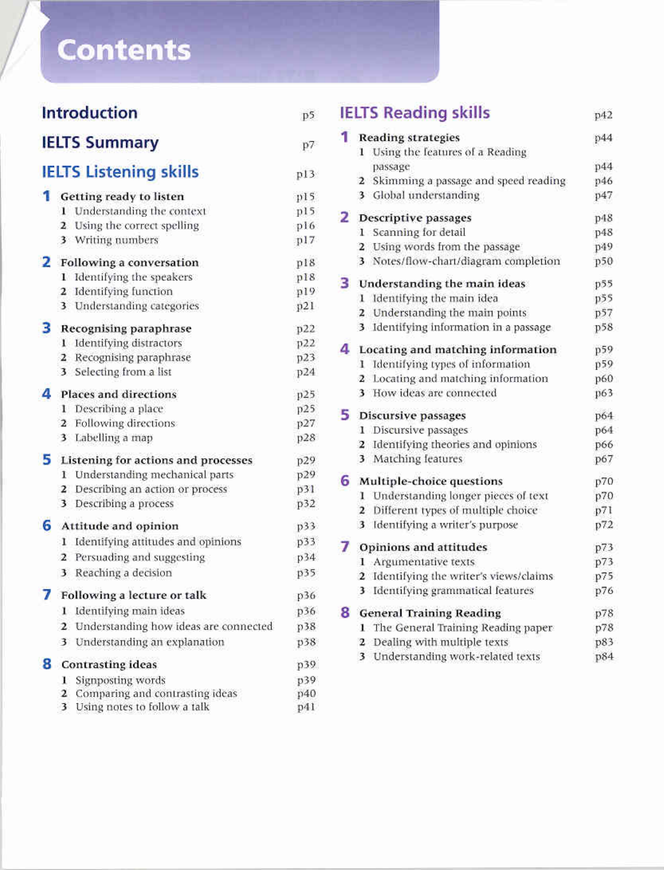# **Contents**

|    |    | <b>Introduction</b>                      | p5  |
|----|----|------------------------------------------|-----|
|    |    | <b>IELTS Summary</b>                     | p7  |
|    |    | <b>IELTS Listening skills</b>            | p13 |
| 1. |    | Getting ready to listen                  | pIS |
|    |    | 1 Understanding the context              | p15 |
|    |    | 2 Using the correct spelling             | p16 |
|    |    | 3 Writing numbers                        | p17 |
|    |    | 2 Following a conversation               | p18 |
|    |    | 1 Identifying the speakers               | p18 |
|    |    | 2 Identifying function                   | p19 |
|    |    | 3 Understanding categories               | p21 |
| з  |    | Recognising paraphrase                   | p22 |
|    |    | 1 Identifying distractors                | p22 |
|    |    | 2 Recognising paraphrase                 | p23 |
|    |    | 3 Selecting from a list                  | p24 |
| 4  |    | Places and directions                    | p25 |
|    |    | 1 Describing a place                     | p25 |
|    |    | 2 Following directions                   | p27 |
|    |    | 3 Labelling a map                        | p28 |
| 5  |    | Listening for actions and processes      | p29 |
|    |    | 1 Understanding mechanical parts         | p29 |
|    |    | 2 Describing an action or process        | p31 |
|    | 3  | Describing a process                     | p32 |
| 6  |    | Attitude and opinion                     | p33 |
|    |    | 1 Identifying attitudes and opinions     | p33 |
|    |    | 2 Persuading and suggesting              | p34 |
|    |    | 3 Reaching a decision                    | p35 |
|    |    | Following a lecture or talk              | p36 |
|    | 1. | Identifying main ideas                   | p36 |
|    |    | 2. Understanding how ideas are connected | p38 |
|    |    | 3 Understanding an explanation           | p38 |
|    |    | <b>8</b> Contrasting ideas               | p39 |
|    | Ŀ. | Signposting words                        | p39 |
|    | 2  | Comparing and contrasting ideas          | p40 |
|    | 3  | Using notes to follow a talk             | p41 |

|    | <b>IELTS Reading skills</b>              | p42 |  |
|----|------------------------------------------|-----|--|
| 1. | <b>Reading strategies</b>                | p44 |  |
|    | 1 Using the features of a Reading        |     |  |
|    | passage                                  | p44 |  |
|    | 2 Skimming a passage and speed reading   | p46 |  |
|    | 3 Global understanding                   | p47 |  |
|    | 2 Descriptive passages                   | p48 |  |
|    | 1 Scanning for detail                    | p48 |  |
|    | 2 Using words from the passage           | p49 |  |
|    | 3 Notes/flow-chart/diagram completion    | p50 |  |
|    | 3 Understanding the main ideas           | p55 |  |
|    | 1 Identifying the main idea              | p55 |  |
|    | 2 Understanding the main points          | p57 |  |
|    | 3 Identifying information in a passage   | p58 |  |
|    | 4 Locating and matching information      | p59 |  |
|    | Identifying types of information<br>1    | p59 |  |
|    | 2 Locating and matching information      | p60 |  |
|    | 3 How ideas are connected                | p63 |  |
|    | 5 Discursive passages                    | p64 |  |
|    | 1 Discursive passages                    | p64 |  |
|    | 2 Identifying theories and opinions      | p66 |  |
|    | 3 Matching features                      | p67 |  |
|    | 6 Multiple-choice questions              | p70 |  |
|    | 1 Understanding longer pieces of text    | p70 |  |
|    | 2 Different types of multiple choice     | p71 |  |
|    | 3 Identifying a writer's purpose         | p72 |  |
|    | 7 Opinions and attitudes                 | p73 |  |
|    | 1 Argumentative texts                    | p73 |  |
|    | 2 Identifying the writer's views/claims. | p75 |  |
|    | 3 Identifying grammatical features       | p76 |  |
| 8  | <b>General Training Reading</b>          |     |  |
|    | 1 The General Training Reading paper     | p78 |  |
|    | 2 Dealing with multiple texts            | p83 |  |
|    | 3 Understanding work-related texts       | p84 |  |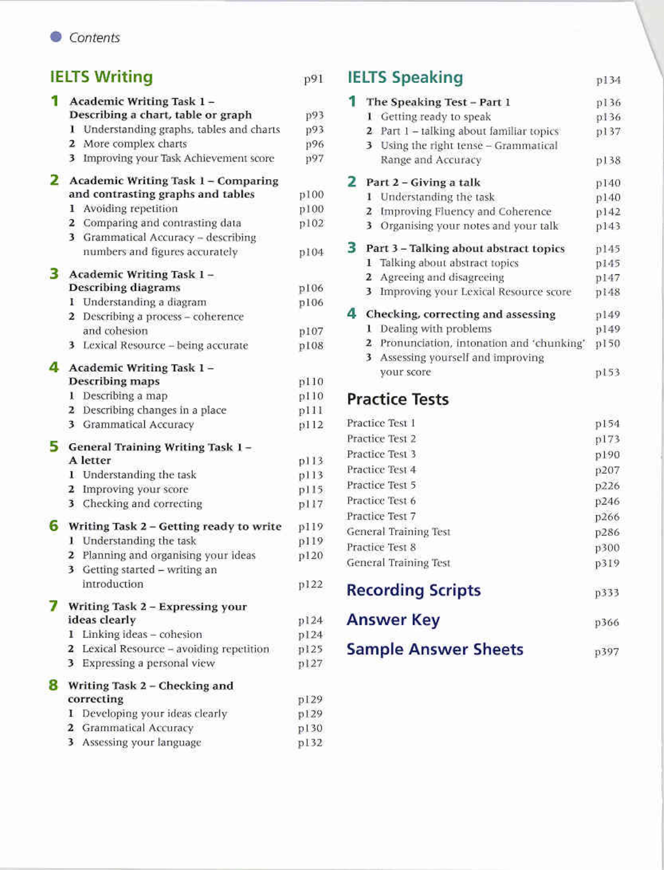#### Contents

## **IELTS Writing**

| Academic Writing Task 1-                               |      |
|--------------------------------------------------------|------|
| Describing a chart, table or graph                     | p93  |
| Understanding graphs, tables and charts<br>x.          | p93  |
| 2 More complex charts                                  | p96  |
| Improving your Task Achievement score<br>3             | p97  |
| <b>2</b> Academic Writing Task 1 - Comparing           |      |
| and contrasting graphs and tables                      | p100 |
| 1 Avoiding repetition                                  | p100 |
| 2 Comparing and contrasting data                       | p102 |
| 3 Grammatical Accuracy - describing                    |      |
| numbers and figures accurately                         | p104 |
| 3 Academic Writing Task 1-                             |      |
| <b>Describing diagrams</b>                             | p106 |
| I Understanding a diagram                              | p106 |
| 2 Describing a process - coherence                     |      |
| and cohesion                                           | p107 |
| 3 Lexical Resource - being accurate                    | p108 |
| 4 Academic Writing Task 1-                             |      |
| <b>Describing maps</b>                                 | p110 |
| Describing a map<br>ı.                                 | p110 |
| 2 Describing changes in a place                        | p111 |
| 3 Grammatical Accuracy                                 | p112 |
| <b>5</b> General Training Writing Task $1 -$           |      |
| A letter                                               | p113 |
| I Understanding the task                               | p113 |
| 2 Improving your score                                 | p115 |
| 3 Checking and correcting                              | p117 |
| <b>6</b> Writing Task $2$ – Getting ready to write     | p119 |
| Understanding the task<br>B.                           | p119 |
| 2 Planning and organising your ideas                   | p120 |
| 3 Getting started - writing an                         |      |
| introduction                                           | p122 |
| Writing Task 2 - Expressing your                       |      |
| ideas clearly                                          | p124 |
| Linking ideas - cohesion<br>1.                         | p124 |
| Lexical Resource - avoiding repetition<br>$\mathbf{z}$ | p125 |
| Expressing a personal view<br>3.                       | p127 |
| 8 Writing Task 2 - Checking and                        |      |
| correcting                                             | p129 |
| Developing your ideas clearly<br>1.                    | p129 |
| Grammatical Accuracy<br>2                              | p130 |
| Assessing your language<br>3                           | p132 |

#### **IELTS Speaking** p134

|   | The Speaking Test - Part 1                               | p136  |
|---|----------------------------------------------------------|-------|
|   | 1 Getting ready to speak                                 | p.136 |
|   | 2 Part 1 - talking about familiar topics                 | p137  |
|   | Using the right tense - Grammatical<br>3                 |       |
|   | Range and Accuracy                                       | p138  |
|   | Part 2 - Giving a talk                                   | p140  |
|   | Understanding the task<br>1                              | p140  |
|   | Improving Fluency and Coherence<br>z                     | p142  |
|   | 3 Organising your notes and your talk                    | p143  |
| 3 | Part 3 - Talking about abstract topics                   | p145  |
|   | 1 Talking about abstract topics                          | p145  |
|   | 2 Agreeing and disagreeing                               | p147  |
|   | 3 Improving your Lexical Resource score                  | p148  |
|   | Checking, correcting and assessing                       | p149  |
|   | 1 Dealing with problems                                  | p149  |
|   | Pronunciation, intonation and 'chunking'<br>$\mathbf{z}$ | p150  |
|   | Assessing yourself and improving<br>3                    |       |
|   | your score                                               | p153  |
|   | Denetica Toete                                           |       |

### **Practice Tests**

p91

| Practice Test 1             | p154        |
|-----------------------------|-------------|
| Practice Test 2             | p173        |
| Practice Test 3             | p190        |
| Practice Test 4             | p207        |
| Practice Test 5             | p226        |
| Practice Test 6             | p246        |
| Practice Test 7             | p266        |
| General Training Test       | p286        |
| Practice Test 8             | p300        |
| General Training Test       | p319        |
| <b>Recording Scripts</b>    | p333        |
| <b>Answer Key</b>           | <b>p366</b> |
| <b>Sample Answer Sheets</b> | p397        |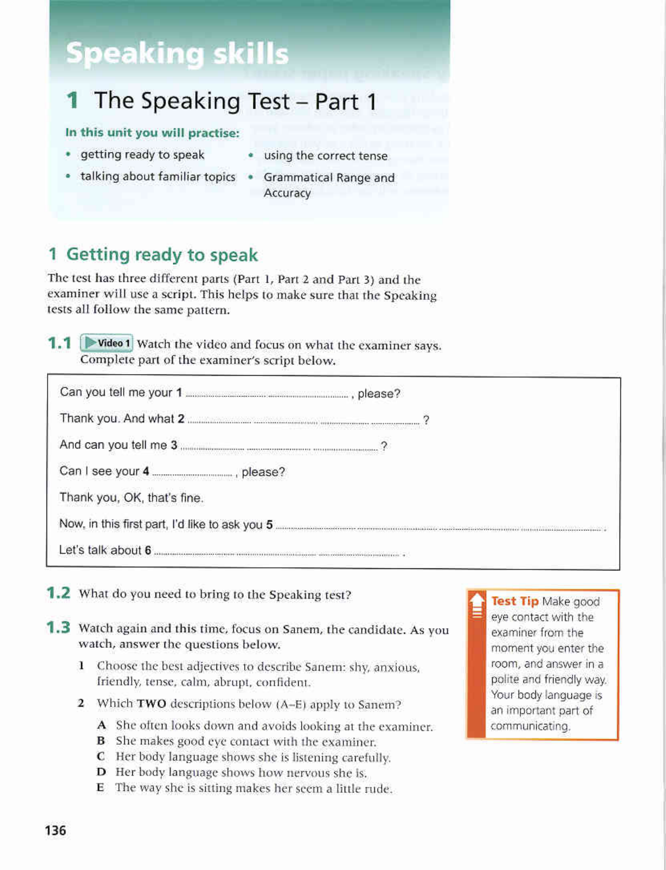## **Speaking skills**

#### The Speaking Test - Part 1 1

#### In this unit you will practise:

- getting ready to speak
- · using the correct tense
- talking about familiar topics
	- Grammatical Range and Accuracy

## 1 Getting ready to speak

The test has three different parts (Part 1, Part 2 and Part 3) and the examiner will use a script. This helps to make sure that the Speaking tests all follow the same pattern.

1.1 D Video 1 Watch the video and focus on what the examiner says. Complete part of the examiner's script below.

| Can I see your 4 ________________, please? |  |
|--------------------------------------------|--|
| Thank you, OK, that's fine.                |  |
|                                            |  |
|                                            |  |

- **1.2** What do you need to bring to the Speaking test?
- 1.3 Watch again and this time, focus on Sanem, the candidate. As you watch, answer the questions below.
	- 1 Choose the best adjectives to describe Sanem: shy, anxious, friendly, tense, calm, abrupt, confident.
	- 2 Which TWO descriptions below (A-E) apply to Sanem?
		- A She often looks down and avoids looking at the examiner.
		- **B** She makes good eye contact with the examiner.
		- C Her body language shows she is listening carefully.
		- **D** Her body language shows how nervous she is.
		- E The way she is sitting makes her seem a little rude.

Test Tip Make good eve contact with the examiner from the moment you enter the room, and answer in a polite and friendly way. Your body language is an important part of communicating.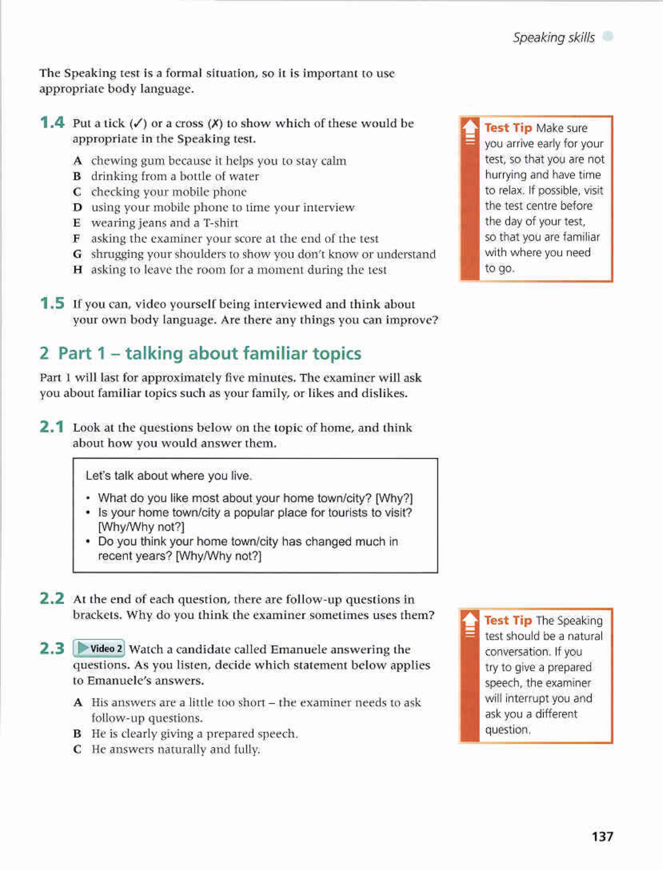The Speaking test is a formal situation, so it is important to use appropriate body language.

- **1.4** Put a tick  $(\checkmark)$  or a cross  $(\checkmark)$  to show which of these would be appropriate in the Speaking test.
	- A chewing gum because it helps you to stay calm
	- **B** drinking from a bottle of water
	- C checking your mobile phone
	- D using your mobile phone to time your interview
	- E wearing jeans and a T-shirt
	- F asking the examiner your score at the end of the test
	- G shrugging your shoulders to show you don't know or understand
	- H asking to leave the room for a moment during the test
- **1.5** If you can, video yourself being interviewed and think about your own body language. Are there any things you can improve?

## 2 Part 1 - talking about familiar topics

Part 1 will last for approximately five minutes. The examiner will ask you about familiar topics such as your family, or likes and dislikes.

2.1 Look at the questions below on the topic of home, and think about how you would answer them.

Let's talk about where you live.

- What do you like most about your home town/city? [Why?]
- Is your home town/city a popular place for tourists to visit? [Why/Why not?]
- . Do you think your home town/city has changed much in recent years? [Why/Why not?]
- 2.2 At the end of each question, there are follow-up questions in brackets. Why do you think the examiner sometimes uses them?
- 2.3 > Video 2 Watch a candidate called Emanuele answering the questions. As you listen, decide which statement below applies to Emanuele's answers.
	- A His answers are a little too short the examiner needs to ask follow-up questions.
	- **B** He is clearly giving a prepared speech.
	- C He answers naturally and fully.

Test Tip Make sure you arrive early for your test, so that you are not hurrying and have time to relax. If possible, visit the test centre before the day of your test, so that you are familiar with where you need to go.

**Test Tip The Speaking** test should be a natural conversation. If you try to give a prepared speech, the examiner will interrupt you and ask you a different question.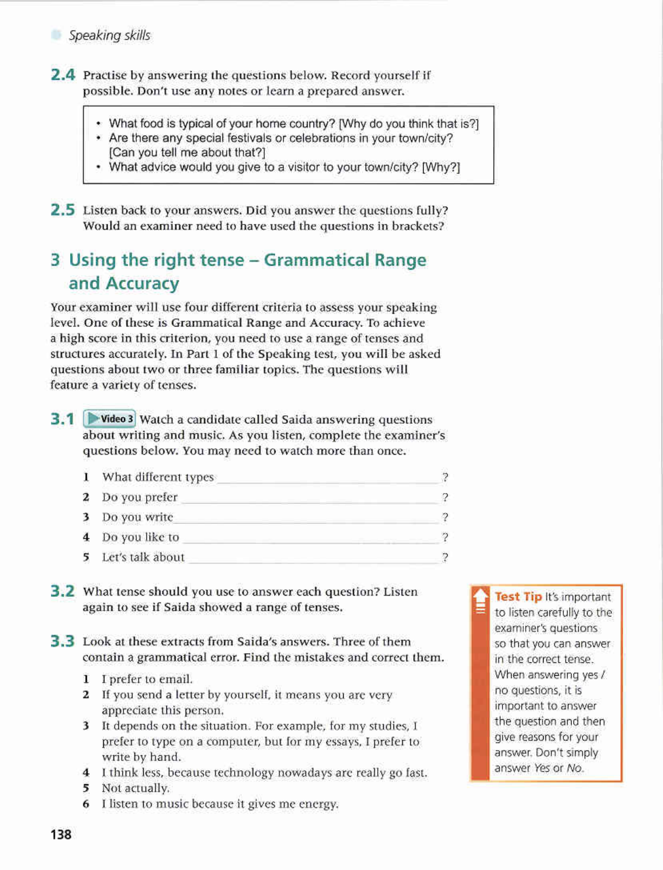2.4 Practise by answering the questions below. Record yourself if possible. Don't use any notes or learn a prepared answer.

- What food is typical of your home country? [Why do you think that is?]
- Are there any special festivals or celebrations in your town/city? [Can you tell me about that?]
- What advice would you give to a visitor to your town/city? [Why?]

**2.5** Listen back to your answers. Did you answer the questions fully? Would an examiner need to have used the questions in brackets?

## 3 Using the right tense – Grammatical Range and Accuracy

Your examiner will use four different criteria to assess your speaking level. One of these is Grammatical Range and Accuracy. To achieve a high score in this criterion, you need to use a range of tenses and structures accurately. In Part 1 of the Speaking test, you will be asked questions about two or three familiar topics. The questions will feature a variety of tenses.

3.1 Video 3 Watch a candidate called Saida answering questions about writing and music. As you listen, complete the examiner's questions below. You may need to watch more than once.

|   | What different types |  |
|---|----------------------|--|
| 2 | Do you prefer        |  |
| 3 | Do you write         |  |
| 4 | Do you like to       |  |
| 5 | Let's talk about     |  |

- 3.2 What tense should you use to answer each question? Listen again to see if Saida showed a range of tenses.
- 3.3 Look at these extracts from Saida's answers. Three of them contain a grammatical error. Find the mistakes and correct them.
	- 1 I prefer to email.
	- 2 If you send a letter by yourself, it means you are very appreciate this person.
	- 3 It depends on the situation. For example, for my studies, I prefer to type on a computer, but for my essays, I prefer to write by hand.
	- 4 I think less, because technology nowadays are really go fast.
	- 5 Not actually.
	- 6 I listen to music because it gives me energy.

Test Tip It's important to listen carefully to the examiner's questions so that you can answer in the correct tense. When answering yes / no questions, it is important to answer the question and then give reasons for your answer. Don't simply answer Yes or No.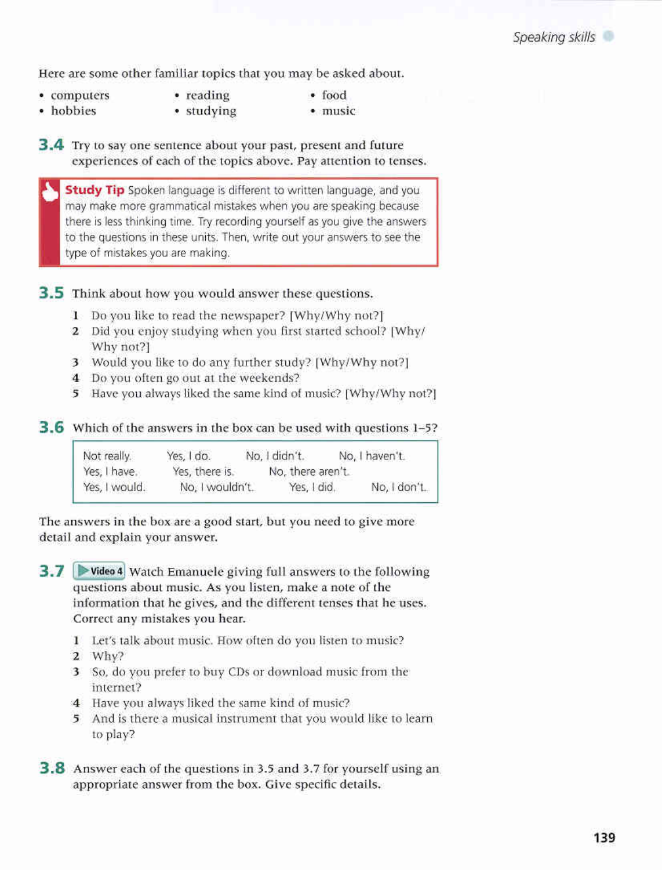Here are some other familiar topics that you may be asked about.

- computers
- reading
- · food · music
- · hobbies · studying
- 3.4 Try to say one sentence about your past, present and future experiences of each of the topics above. Pay attention to tenses.

Study Tip Spoken language is different to written language, and you may make more grammatical mistakes when you are speaking because there is less thinking time. Try recording yourself as you give the answers to the questions in these units. Then, write out your answers to see the type of mistakes you are making.

3.5 Think about how you would answer these questions.

- 1 Do you like to read the newspaper? [Why/Why not?]
- 2 Did you enjoy studying when you first started school? [Why/ Why not?]
- 3 Would you like to do any further study? [Why/Why not?]
- 4 Do you often go out at the weekends?
- 5 Have you always liked the same kind of music? [Why/Why not?]

#### 3.6 Which of the answers in the box can be used with questions 1-5?

| Not really.   | Yes, I do.      | No. I didn't.     | No, I haven't. |
|---------------|-----------------|-------------------|----------------|
| Yes, I have.  | Yes, there is.  | No, there aren't. |                |
| Yes, I would. | No, I wouldn't. | Yes, I did.       | No, I don't.   |

The answers in the box are a good start, but you need to give more detail and explain your answer.

3.7 Evideo 4 Watch Emanuele giving full answers to the following questions about music. As you listen, make a note of the information that he gives, and the different tenses that he uses. Correct any mistakes you hear.

- 1 Let's talk about music. How often do you listen to music?
- $2$  Why?
- 3 So, do you prefer to buy CDs or download music from the internet?
- 4 Have you always liked the same kind of music?
- 5 And is there a musical instrument that you would like to learn to play?
- 3.8 Answer each of the questions in 3.5 and 3.7 for yourself using an appropriate answer from the box. Give specific details.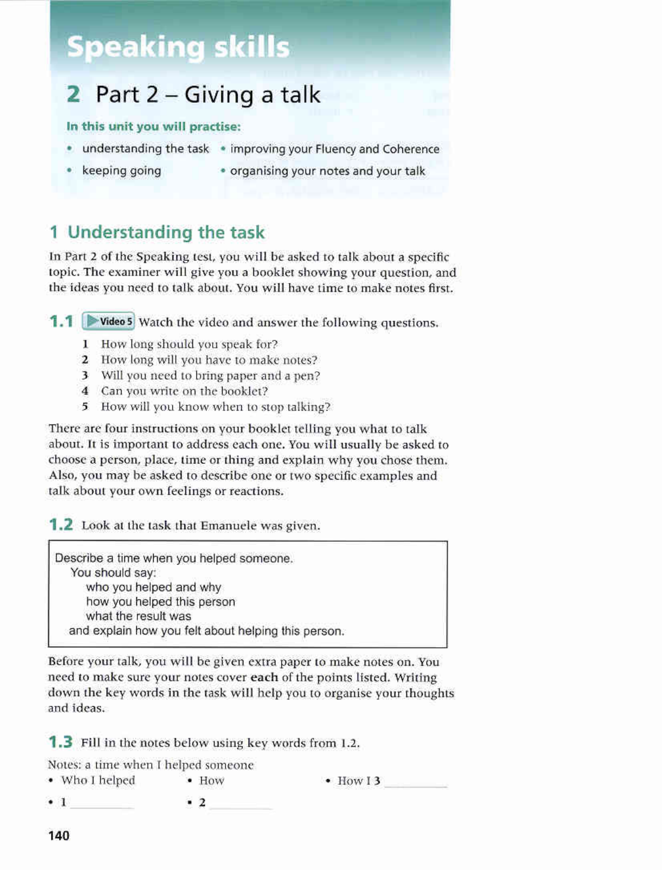## **Speaking skills**

#### Part 2 – Giving a talk 2

#### In this unit you will practise:

- . understanding the task . improving your Fluency and Coherence
- keeping going
- organising your notes and your talk

## 1 Understanding the task

In Part 2 of the Speaking test, you will be asked to talk about a specific topic. The examiner will give you a booklet showing your question, and the ideas you need to talk about. You will have time to make notes first.

1.1 Video 5 Watch the video and answer the following questions.

- 1 How long should you speak for?
- 2 How long will you have to make notes?
- 3 Will you need to bring paper and a pen?
- 4 Can you write on the booklet?
- 5 How will you know when to stop talking?

There are four instructions on your booklet telling you what to talk about. It is important to address each one. You will usually be asked to choose a person, place, time or thing and explain why you chose them. Also, you may be asked to describe one or two specific examples and talk about your own feelings or reactions.

1.2 Look at the task that Emanuele was given.

Describe a time when you helped someone. You should say: who you helped and why how you helped this person what the result was and explain how you felt about helping this person.

Before your talk, you will be given extra paper to make notes on. You need to make sure your notes cover each of the points listed. Writing down the key words in the task will help you to organise your thoughts and ideas.

**1.3** Fill in the notes below using key words from 1.2.

Notes: a time when I helped someone

• Who I helped  $\bullet$  How  $\bullet$  How I 3  $\cdot$  1  $\cdot$  2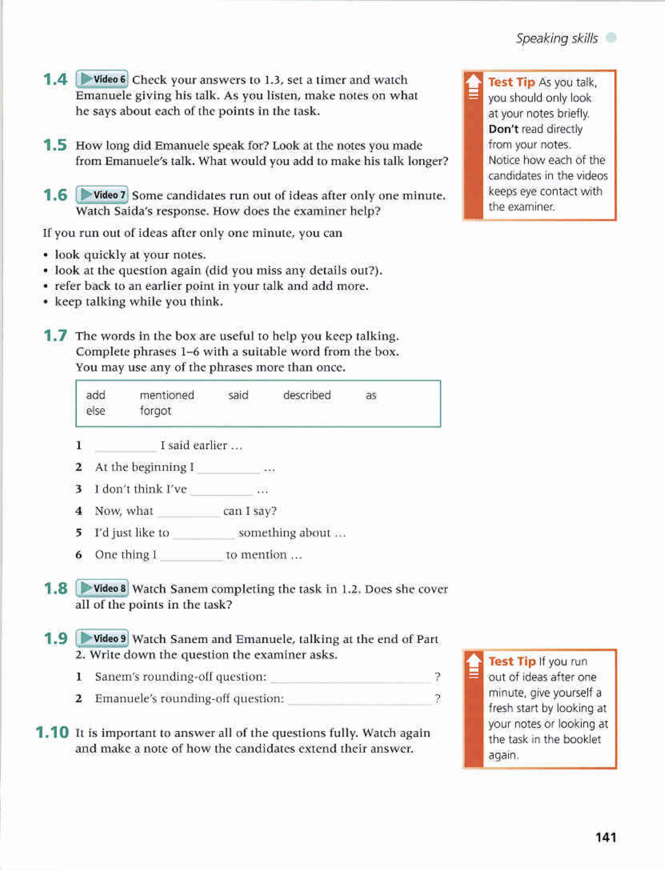- 1.4 Video 6 Check your answers to 1.3, set a timer and watch Emanuele giving his talk. As you listen, make notes on what he says about each of the points in the task.
- 1.5 How long did Emanuele speak for? Look at the notes you made from Emanuele's talk. What would you add to make his talk longer?
- 1.6 P Video 7 Some candidates run out of ideas after only one minute. Watch Saida's response. How does the examiner help?

If you run out of ideas after only one minute, you can

- look quickly at your notes.
- look at the question again (did you miss any details out?).
- refer back to an earlier point in your talk and add more.
- keep talking while you think.
- **1.7** The words in the box are useful to help you keep talking. Complete phrases 1-6 with a suitable word from the box. You may use any of the phrases more than once.

mentioned described add said as forgot else

- I said earlier ... 1
- 2 At the beginning I ...
- 3 I don't think I've ...
- 4 Now, what can I say?
- 
- 6 One thing I to mention ...
- 1.8 Video 8 Watch Sanem completing the task in 1.2. Does she cover all of the points in the task?
- 1.9 Video 9 Watch Sanem and Emanuele, talking at the end of Part 2. Write down the question the examiner asks.
	- Ÿ. 1 Sanem's rounding-off question:
	- $\overline{\mathcal{L}}$  $\overline{\mathbf{2}}$ Emanuele's rounding-off question:
- **1.10** It is important to answer all of the questions fully. Watch again and make a note of how the candidates extend their answer.

Test Tip As you talk, you should only look at your notes briefly. Don't read directly from your notes. Notice how each of the candidates in the videos keeps eye contact with the examiner.

Test Tip If you run out of ideas after one minute, give yourself a fresh start by looking at your notes or looking at the task in the booklet again.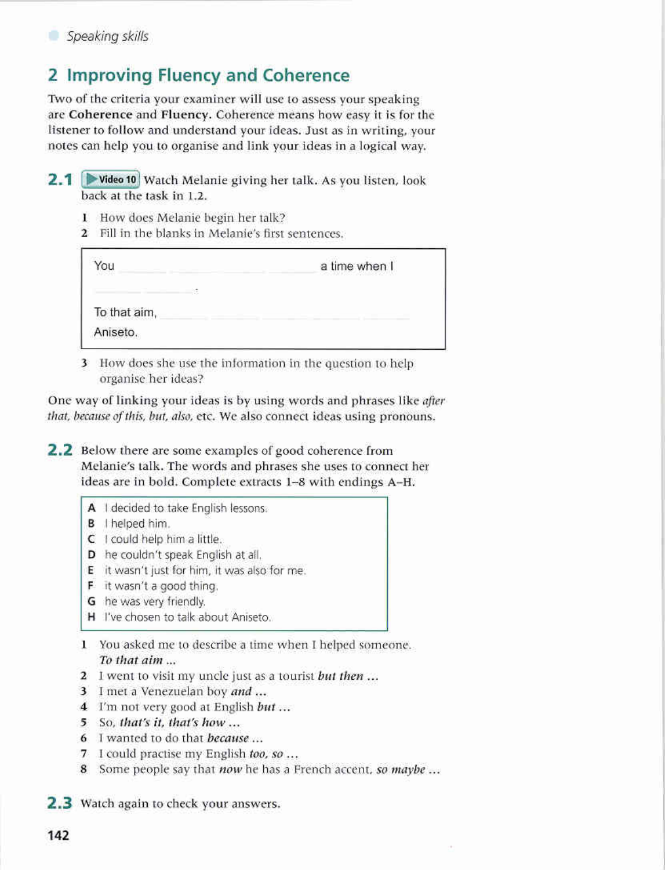

## 2 Improving Fluency and Coherence

Two of the criteria your examiner will use to assess your speaking are Coherence and Fluency. Coherence means how easy it is for the listener to follow and understand your ideas. Just as in writing, your notes can help you to organise and link your ideas in a logical way.

- 2.1 D Video 10 Watch Melanie giving her talk. As you listen, look back at the task in 1.2.
	- 1 How does Melanie begin her talk?
	- 2 Fill in the blanks in Melanie's first sentences.

| OU <sup>1</sup><br>THE STATE | a time when I<br>000 M.H. K. MART 2011 MARTIN 1997 |  |  |
|------------------------------|----------------------------------------------------|--|--|
|                              |                                                    |  |  |
| To that aim,                 |                                                    |  |  |
| Aniseto.                     |                                                    |  |  |

3 How does she use the information in the question to help organise her ideas?

One way of linking your ideas is by using words and phrases like after that, because of this, but, also, etc. We also connect ideas using pronouns.

**2.2** Below there are some examples of good coherence from Melanie's talk. The words and phrases she uses to connect her ideas are in bold. Complete extracts 1-8 with endings A-H.

- A I decided to take English lessons.
- B I helped him.
- C I could help him a little.
- D he couldn't speak English at all.
- E it wasn't just for him, it was also for me.
- F it wasn't a good thing.
- G he was very friendly.
- H I've chosen to talk about Aniseto.
- 1 You asked me to describe a time when I helped someone. To that aim ...
- 2 I went to visit my uncle just as a tourist but then ...
- 3 I met a Venezuelan boy and ...
- 4 I'm not very good at English but ...
- 5 So, that's it, that's how ...
- 6 I wanted to do that because ...
- 7 I could practise my English too, so ...
- 8 Some people say that now he has a French accent. so maybe ...

2.3 Watch again to check your answers.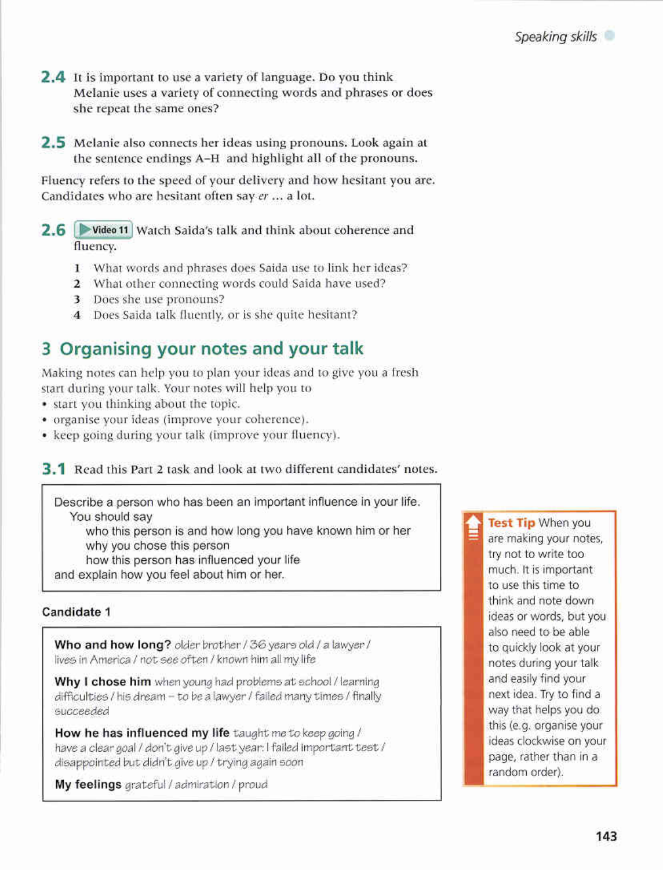- 2.4 It is important to use a variety of language. Do you think Melanie uses a variety of connecting words and phrases or does she repeat the same ones?
- 2.5 Melanie also connects her ideas using pronouns. Look again at the sentence endings A-H and highlight all of the pronouns.

Fluency refers to the speed of your delivery and how hesitant you are. Candidates who are hesitant often say er ... a lot.

- 2.6 P Video 11 Watch Saida's talk and think about coherence and fluency.
	- 1 What words and phrases does Saida use to link her ideas?
	- 2 What other connecting words could Saida have used?
	- 3 Does she use pronouns?
	- 4 Does Saida talk fluently, or is she quite hesitant?

## 3 Organising your notes and your talk

Making notes can help you to plan your ideas and to give you a fresh start during your talk. Your notes will help you to

- start you thinking about the topic.
- · organise your ideas (improve your coherence).
- keep going during your talk (improve your fluency).

**3.1** Read this Part 2 task and look at two different candidates' notes.

Describe a person who has been an important influence in your life. You should sav

who this person is and how long you have known him or her why you chose this person

how this person has influenced your life

and explain how you feel about him or her.

#### Candidate 1

Who and how long? older brother / 36 years old / a lawyer / lives in America / not see often / known him all my life

Why I chose him when young had problems at school / learning difficulties / his dream - to be a lawyer / failed many times / finally succeeded

How he has influenced my life taught me to keep going / have a clear goal / don't give up / last year: I failed important test / disappointed but didn't give up / trying again soon

My feelings grateful / admiration / proud

Test Tip When you are making your notes, try not to write too much. It is important to use this time to think and note down ideas or words, but you also need to be able to quickly look at your notes during your talk and easily find your next idea. Try to find a way that helps you do. this (e.g. organise your ideas clockwise on your page, rather than in a random order).